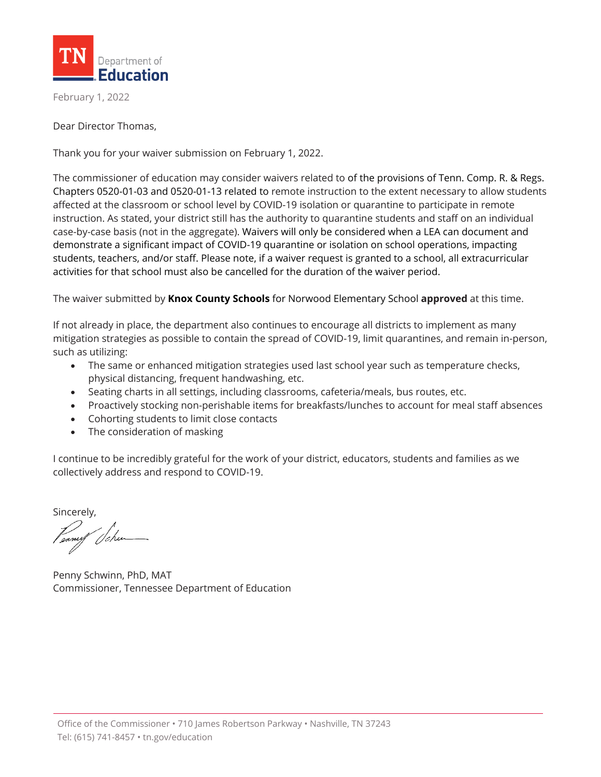

February 1, 2022

Dear Director Thomas,

Thank you for your waiver submission on February 1, 2022.

The commissioner of education may consider waivers related to of the provisions of Tenn. Comp. R. & Regs. Chapters 0520-01-03 and 0520-01-13 related to remote instruction to the extent necessary to allow students affected at the classroom or school level by COVID-19 isolation or quarantine to participate in remote instruction. As stated, your district still has the authority to quarantine students and staff on an individual case-by-case basis (not in the aggregate). Waivers will only be considered when a LEA can document and demonstrate a significant impact of COVID-19 quarantine or isolation on school operations, impacting students, teachers, and/or staff. Please note, if a waiver request is granted to a school, all extracurricular activities for that school must also be cancelled for the duration of the waiver period.

The waiver submitted by **Knox County Schools** for Norwood Elementary School **approved** at this time.

If not already in place, the department also continues to encourage all districts to implement as many mitigation strategies as possible to contain the spread of COVID-19, limit quarantines, and remain in-person, such as utilizing:

- The same or enhanced mitigation strategies used last school year such as temperature checks, physical distancing, frequent handwashing, etc.
- Seating charts in all settings, including classrooms, cafeteria/meals, bus routes, etc.
- Proactively stocking non-perishable items for breakfasts/lunches to account for meal staff absences
- Cohorting students to limit close contacts
- The consideration of masking

I continue to be incredibly grateful for the work of your district, educators, students and families as we collectively address and respond to COVID-19.

Sincerely,

Penny Schwinn, PhD, MAT Commissioner, Tennessee Department of Education